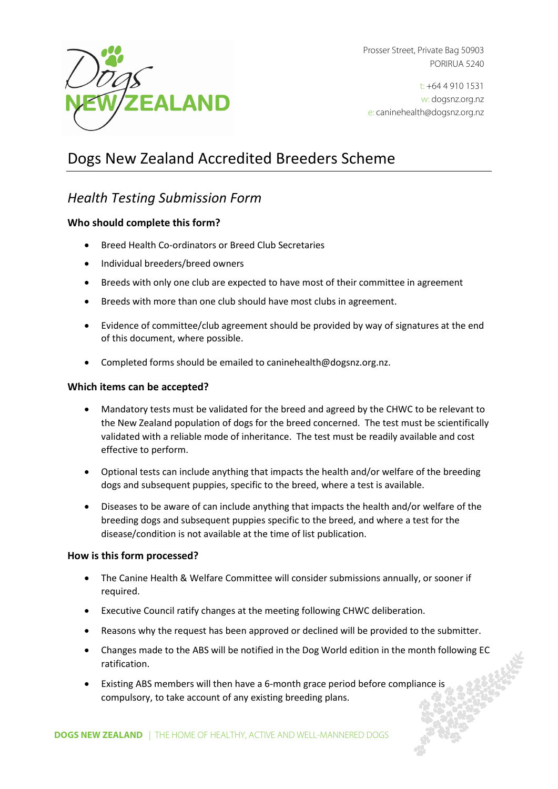

Prosser Street, Private Bag 50903 PORIRUA 5240

t: +64 4 910 1531 w: dogsnz.org.nz e: caninehealth@dogsnz.org.nz

# Dogs New Zealand Accredited Breeders Scheme

# *Health Testing Submission Form*

#### **Who should complete this form?**

- Breed Health Co-ordinators or Breed Club Secretaries
- Individual breeders/breed owners
- Breeds with only one club are expected to have most of their committee in agreement
- Breeds with more than one club should have most clubs in agreement.
- Evidence of committee/club agreement should be provided by way of signatures at the end of this document, where possible.
- Completed forms should be emailed t[o caninehealth@dogsnz.org.nz.](mailto:caninehealth@dogsnz.org.nz)

#### **Which items can be accepted?**

- Mandatory tests must be validated for the breed and agreed by the CHWC to be relevant to the New Zealand population of dogs for the breed concerned. The test must be scientifically validated with a reliable mode of inheritance. The test must be readily available and cost effective to perform.
- Optional tests can include anything that impacts the health and/or welfare of the breeding dogs and subsequent puppies, specific to the breed, where a test is available.
- Diseases to be aware of can include anything that impacts the health and/or welfare of the breeding dogs and subsequent puppies specific to the breed, and where a test for the disease/condition is not available at the time of list publication.

#### **How is this form processed?**

- The Canine Health & Welfare Committee will consider submissions annually, or sooner if required.
- Executive Council ratify changes at the meeting following CHWC deliberation.
- Reasons why the request has been approved or declined will be provided to the submitter.
- Changes made to the ABS will be notified in the Dog World edition in the month following EC ratification.
- Existing ABS members will then have a 6-month grace period before compliance is compulsory, to take account of any existing breeding plans.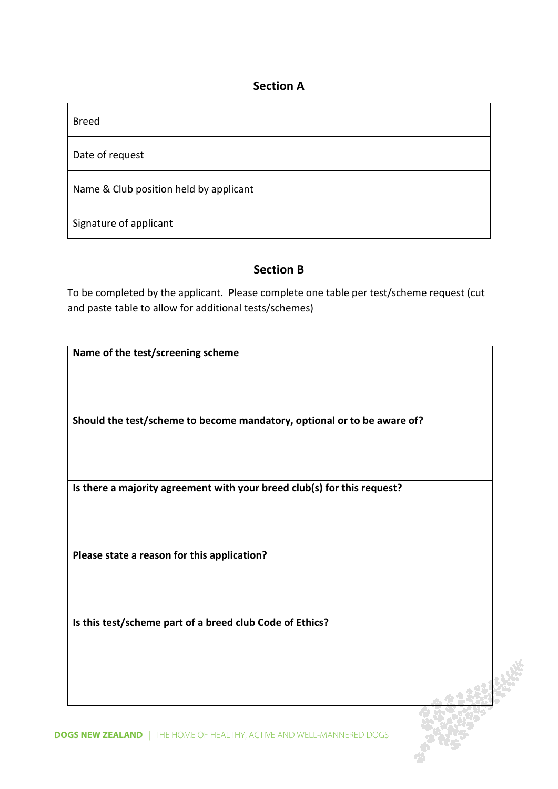### **Section A**

| <b>Breed</b>                           |  |
|----------------------------------------|--|
| Date of request                        |  |
| Name & Club position held by applicant |  |
| Signature of applicant                 |  |

### **Section B**

To be completed by the applicant. Please complete one table per test/scheme request (cut and paste table to allow for additional tests/schemes)

| Name of the test/screening scheme                                       |  |
|-------------------------------------------------------------------------|--|
|                                                                         |  |
|                                                                         |  |
|                                                                         |  |
|                                                                         |  |
|                                                                         |  |
| Should the test/scheme to become mandatory, optional or to be aware of? |  |
|                                                                         |  |
|                                                                         |  |
|                                                                         |  |
|                                                                         |  |
|                                                                         |  |
| Is there a majority agreement with your breed club(s) for this request? |  |
|                                                                         |  |
|                                                                         |  |
|                                                                         |  |
|                                                                         |  |
|                                                                         |  |
| Please state a reason for this application?                             |  |
|                                                                         |  |
|                                                                         |  |
|                                                                         |  |
|                                                                         |  |
|                                                                         |  |
|                                                                         |  |
| Is this test/scheme part of a breed club Code of Ethics?                |  |
|                                                                         |  |
|                                                                         |  |
|                                                                         |  |
|                                                                         |  |
|                                                                         |  |
|                                                                         |  |
|                                                                         |  |
|                                                                         |  |

**DOGS NEW ZEALAND** | THE HOME OF HEALTHY, ACTIVE AND WELL-MANNERED DOGS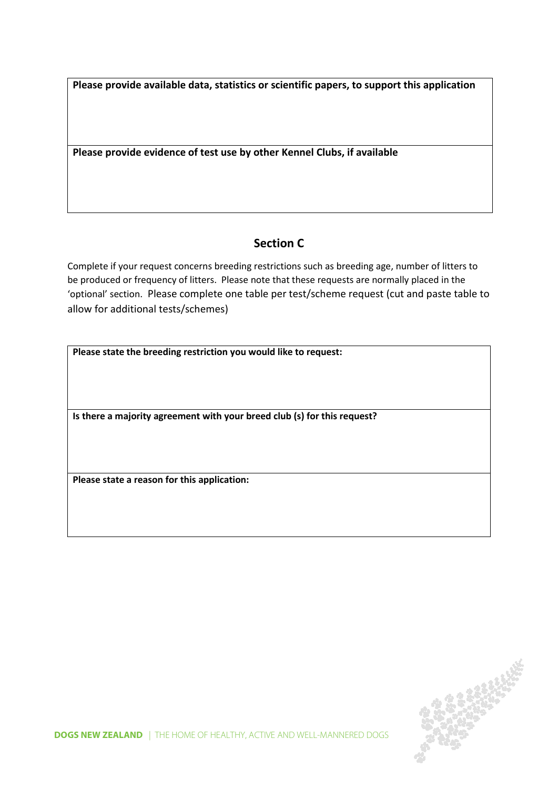**Please provide available data, statistics or scientific papers, to support this application**

**Please provide evidence of test use by other Kennel Clubs, if available**

## **Section C**

Complete if your request concerns breeding restrictions such as breeding age, number of litters to be produced or frequency of litters. Please note that these requests are normally placed in the 'optional' section. Please complete one table per test/scheme request (cut and paste table to allow for additional tests/schemes)

| Please state the breeding restriction you would like to request: |  |
|------------------------------------------------------------------|--|
|------------------------------------------------------------------|--|

**Is there a majority agreement with your breed club (s) for this request?**

**Please state a reason for this application:**